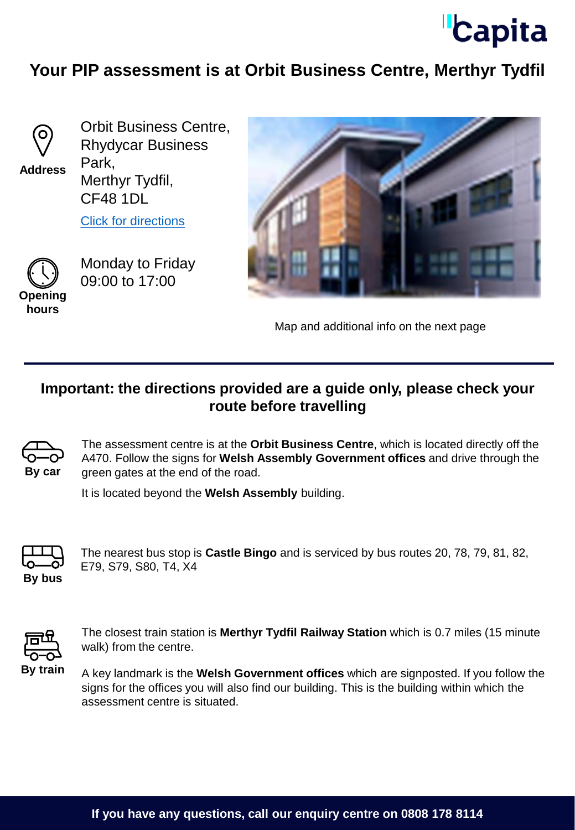

## **Your PIP assessment is at Orbit Business Centre, Merthyr Tydfil**



**Address**

Orbit Business Centre, Rhydycar Business Park, Merthyr Tydfil, CF48 1DL

[Click for directions](https://goo.gl/maps/otVupDekPN7PSAbN9)



Monday to Friday 09:00 to 17:00





Map and additional info on the next page

## **Important: the directions provided are a guide only, please check your route before travelling**



The assessment centre is at the **Orbit Business Centre**, which is located directly off the A470. Follow the signs for **Welsh Assembly Government offices** and drive through the green gates at the end of the road.

It is located beyond the **Welsh Assembly** building.



The nearest bus stop is **Castle Bingo** and is serviced by bus routes 20, 78, 79, 81, 82, E79, S79, S80, T4, X4



The closest train station is **Merthyr Tydfil Railway Station** which is 0.7 miles (15 minute walk) from the centre.

A key landmark is the **Welsh Government offices** which are signposted. If you follow the signs for the offices you will also find our building. This is the building within which the assessment centre is situated.